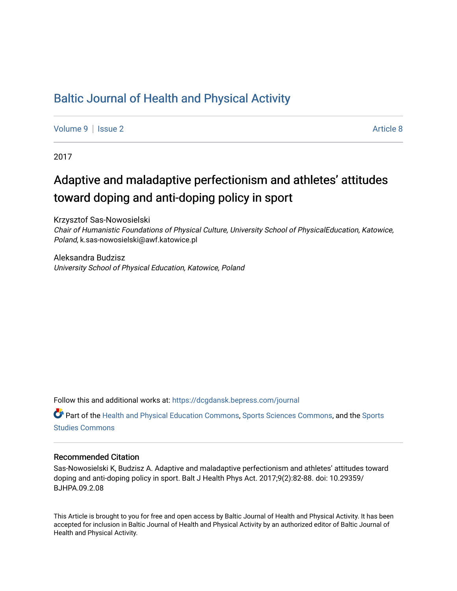# [Baltic Journal of Health and Physical Activity](https://dcgdansk.bepress.com/journal)

[Volume 9](https://dcgdansk.bepress.com/journal/vol9) | [Issue 2](https://dcgdansk.bepress.com/journal/vol9/iss2) Article 8

2017

# Adaptive and maladaptive perfectionism and athletes' attitudes toward doping and anti-doping policy in sport

Krzysztof Sas-Nowosielski Chair of Humanistic Foundations of Physical Culture, University School of PhysicalEducation, Katowice, Poland, k.sas-nowosielski@awf.katowice.pl

Aleksandra Budzisz University School of Physical Education, Katowice, Poland

Follow this and additional works at: [https://dcgdansk.bepress.com/journal](https://dcgdansk.bepress.com/journal?utm_source=dcgdansk.bepress.com%2Fjournal%2Fvol9%2Fiss2%2F8&utm_medium=PDF&utm_campaign=PDFCoverPages)

Part of the [Health and Physical Education Commons](http://network.bepress.com/hgg/discipline/1327?utm_source=dcgdansk.bepress.com%2Fjournal%2Fvol9%2Fiss2%2F8&utm_medium=PDF&utm_campaign=PDFCoverPages), [Sports Sciences Commons](http://network.bepress.com/hgg/discipline/759?utm_source=dcgdansk.bepress.com%2Fjournal%2Fvol9%2Fiss2%2F8&utm_medium=PDF&utm_campaign=PDFCoverPages), and the [Sports](http://network.bepress.com/hgg/discipline/1198?utm_source=dcgdansk.bepress.com%2Fjournal%2Fvol9%2Fiss2%2F8&utm_medium=PDF&utm_campaign=PDFCoverPages)  [Studies Commons](http://network.bepress.com/hgg/discipline/1198?utm_source=dcgdansk.bepress.com%2Fjournal%2Fvol9%2Fiss2%2F8&utm_medium=PDF&utm_campaign=PDFCoverPages) 

#### Recommended Citation

Sas-Nowosielski K, Budzisz A. Adaptive and maladaptive perfectionism and athletes' attitudes toward doping and anti-doping policy in sport. Balt J Health Phys Act. 2017;9(2):82-88. doi: 10.29359/ BJHPA.09.2.08

This Article is brought to you for free and open access by Baltic Journal of Health and Physical Activity. It has been accepted for inclusion in Baltic Journal of Health and Physical Activity by an authorized editor of Baltic Journal of Health and Physical Activity.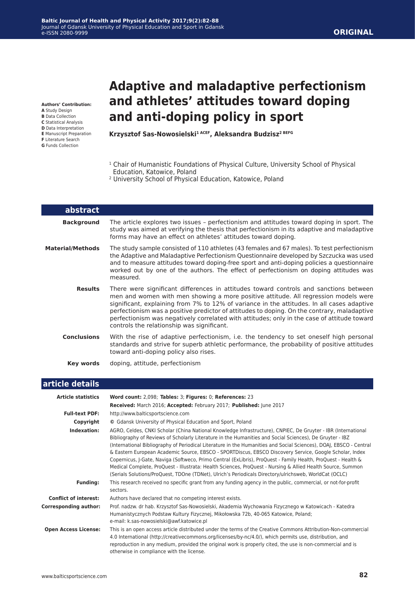### **ORIGINAL**

**Authors' Contribution:**

- **A** Study Design
- **B** Data Collection
- **C** Statistical Analysis
- **D** Data Interpretation **E** Manuscript Preparation
- **F** Literature Search
- **G** Funds Collection

L

# **Adaptive and maladaptive perfectionism and athletes' attitudes toward doping and anti-doping policy in sport**

**Krzysztof Sas-Nowosielski1 ACEF, Aleksandra Budzisz2 BEFG**

- <sup>1</sup> Chair of Humanistic Foundations of Physical Culture, University School of Physical Education, Katowice, Poland
- 2 University School of Physical Education, Katowice, Poland

| abstract                |                                                                                                                                                                                                                                                                                                                                                                                                                                                                                                                        |
|-------------------------|------------------------------------------------------------------------------------------------------------------------------------------------------------------------------------------------------------------------------------------------------------------------------------------------------------------------------------------------------------------------------------------------------------------------------------------------------------------------------------------------------------------------|
| <b>Background</b>       | The article explores two issues - perfectionism and attitudes toward doping in sport. The<br>study was aimed at verifying the thesis that perfectionism in its adaptive and maladaptive<br>forms may have an effect on athletes' attitudes toward doping.                                                                                                                                                                                                                                                              |
| <b>Material/Methods</b> | The study sample consisted of 110 athletes (43 females and 67 males). To test perfectionism<br>the Adaptive and Maladaptive Perfectionism Questionnaire developed by Szczucka was used<br>and to measure attitudes toward doping-free sport and anti-doping policies a questionnaire<br>worked out by one of the authors. The effect of perfectionism on doping attitudes was<br>measured.                                                                                                                             |
| <b>Results</b>          | There were significant differences in attitudes toward controls and sanctions between<br>men and women with men showing a more positive attitude. All regression models were<br>significant, explaining from 7% to 12% of variance in the attitudes. In all cases adaptive<br>perfectionism was a positive predictor of attitudes to doping. On the contrary, maladaptive<br>perfectionism was negatively correlated with attitudes; only in the case of attitude toward<br>controls the relationship was significant. |
| <b>Conclusions</b>      | With the rise of adaptive perfectionism, i.e. the tendency to set oneself high personal<br>standards and strive for superb athletic performance, the probability of positive attitudes<br>toward anti-doping policy also rises.                                                                                                                                                                                                                                                                                        |
| Key words               | doping, attitude, perfectionism                                                                                                                                                                                                                                                                                                                                                                                                                                                                                        |
|                         |                                                                                                                                                                                                                                                                                                                                                                                                                                                                                                                        |

## **article details**

| <b>Article statistics</b>    | Word count: 2,098; Tables: 3; Figures: 0; References: 23                                                                                                                                                                                                                                                                                                                                                                                                                                                                                                                                                                                                                                                                                                                                             |
|------------------------------|------------------------------------------------------------------------------------------------------------------------------------------------------------------------------------------------------------------------------------------------------------------------------------------------------------------------------------------------------------------------------------------------------------------------------------------------------------------------------------------------------------------------------------------------------------------------------------------------------------------------------------------------------------------------------------------------------------------------------------------------------------------------------------------------------|
|                              | Received: March 2016; Accepted: February 2017; Published: June 2017                                                                                                                                                                                                                                                                                                                                                                                                                                                                                                                                                                                                                                                                                                                                  |
| <b>Full-text PDF:</b>        | http://www.balticsportscience.com                                                                                                                                                                                                                                                                                                                                                                                                                                                                                                                                                                                                                                                                                                                                                                    |
| Copyright                    | © Gdansk University of Physical Education and Sport, Poland                                                                                                                                                                                                                                                                                                                                                                                                                                                                                                                                                                                                                                                                                                                                          |
| Indexation:                  | AGRO, Celdes, CNKI Scholar (China National Knowledge Infrastructure), CNPIEC, De Gruyter - IBR (International<br>Bibliography of Reviews of Scholarly Literature in the Humanities and Social Sciences), De Gruyter - IBZ<br>(International Bibliography of Periodical Literature in the Humanities and Social Sciences), DOAJ, EBSCO - Central<br>& Eastern European Academic Source, EBSCO - SPORTDiscus, EBSCO Discovery Service, Google Scholar, Index<br>Copernicus, J-Gate, Naviga (Softweco, Primo Central (ExLibris), ProQuest - Family Health, ProQuest - Health &<br>Medical Complete, ProQuest - Illustrata: Health Sciences, ProQuest - Nursing & Allied Health Source, Summon<br>(Serials Solutions/ProQuest, TDOne (TDNet), Ulrich's Periodicals Directory/ulrichsweb, WorldCat (OCLC) |
| <b>Funding:</b>              | This research received no specific grant from any funding agency in the public, commercial, or not-for-profit<br>sectors.                                                                                                                                                                                                                                                                                                                                                                                                                                                                                                                                                                                                                                                                            |
| <b>Conflict of interest:</b> | Authors have declared that no competing interest exists.                                                                                                                                                                                                                                                                                                                                                                                                                                                                                                                                                                                                                                                                                                                                             |
| <b>Corresponding author:</b> | Prof. nadzw. dr hab. Krzysztof Sas-Nowosielski, Akademia Wychowania Fizycznego w Katowicach - Katedra<br>Humanistycznych Podstaw Kultury Fizycznej, Mikołowska 72b, 40-065 Katowice, Poland;<br>e-mail: k.sas-nowosielski@awf.katowice.pl                                                                                                                                                                                                                                                                                                                                                                                                                                                                                                                                                            |
| <b>Open Access License:</b>  | This is an open access article distributed under the terms of the Creative Commons Attribution-Non-commercial<br>4.0 International (http://creativecommons.org/licenses/by-nc/4.0/), which permits use, distribution, and<br>reproduction in any medium, provided the original work is properly cited, the use is non-commercial and is<br>otherwise in compliance with the license.                                                                                                                                                                                                                                                                                                                                                                                                                 |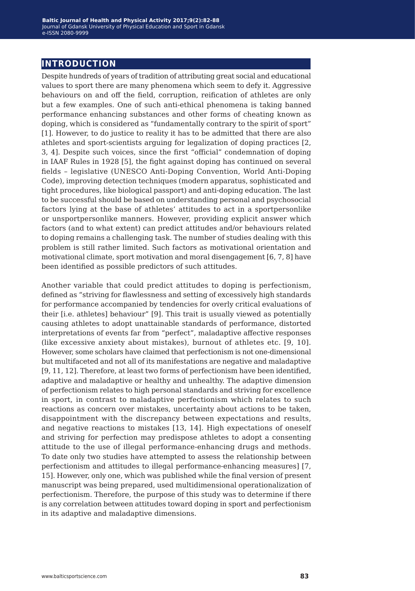# **introduction**

Despite hundreds of years of tradition of attributing great social and educational values to sport there are many phenomena which seem to defy it. Aggressive behaviours on and off the field, corruption, reification of athletes are only but a few examples. One of such anti-ethical phenomena is taking banned performance enhancing substances and other forms of cheating known as doping, which is considered as "fundamentally contrary to the spirit of sport" [1]. However, to do justice to reality it has to be admitted that there are also athletes and sport-scientists arguing for legalization of doping practices [2, 3, 4]. Despite such voices, since the first "official" condemnation of doping in IAAF Rules in 1928 [5], the fight against doping has continued on several fields – legislative (UNESCO Anti-Doping Convention, World Anti-Doping Code), improving detection techniques (modern apparatus, sophisticated and tight procedures, like biological passport) and anti-doping education. The last to be successful should be based on understanding personal and psychosocial factors lying at the base of athletes' attitudes to act in a sportpersonlike or unsportpersonlike manners. However, providing explicit answer which factors (and to what extent) can predict attitudes and/or behaviours related to doping remains a challenging task. The number of studies dealing with this problem is still rather limited. Such factors as motivational orientation and motivational climate, sport motivation and moral disengagement [6, 7, 8] have been identified as possible predictors of such attitudes.

Another variable that could predict attitudes to doping is perfectionism, defined as "striving for flawlessness and setting of excessively high standards for performance accompanied by tendencies for overly critical evaluations of their [i.e. athletes] behaviour" [9]. This trait is usually viewed as potentially causing athletes to adopt unattainable standards of performance, distorted interpretations of events far from "perfect", maladaptive affective responses (like excessive anxiety about mistakes), burnout of athletes etc. [9, 10]. However, some scholars have claimed that perfectionism is not one-dimensional but multifaceted and not all of its manifestations are negative and maladaptive [9, 11, 12]. Therefore, at least two forms of perfectionism have been identified, adaptive and maladaptive or healthy and unhealthy. The adaptive dimension of perfectionism relates to high personal standards and striving for excellence in sport, in contrast to maladaptive perfectionism which relates to such reactions as concern over mistakes, uncertainty about actions to be taken, disappointment with the discrepancy between expectations and results, and negative reactions to mistakes [13, 14]. High expectations of oneself and striving for perfection may predispose athletes to adopt a consenting attitude to the use of illegal performance-enhancing drugs and methods. To date only two studies have attempted to assess the relationship between perfectionism and attitudes to illegal performance-enhancing measures] [7, 15]. However, only one, which was published while the final version of present manuscript was being prepared, used multidimensional operationalization of perfectionism. Therefore, the purpose of this study was to determine if there is any correlation between attitudes toward doping in sport and perfectionism in its adaptive and maladaptive dimensions.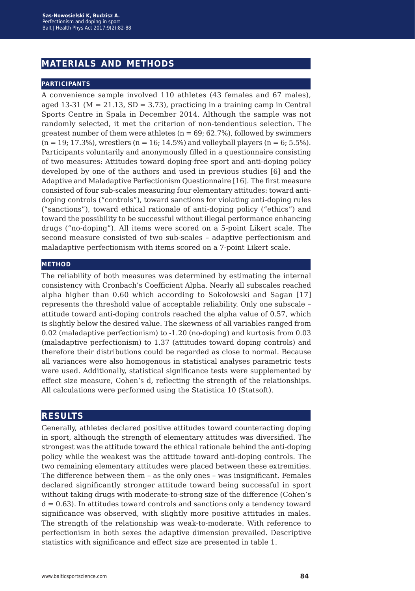# **materials and methods**

#### **participants**

A convenience sample involved 110 athletes (43 females and 67 males), aged 13-31 ( $M = 21.13$ ,  $SD = 3.73$ ), practicing in a training camp in Central Sports Centre in Spala in December 2014. Although the sample was not randomly selected, it met the criterion of non-tendentious selection. The greatest number of them were athletes  $(n = 69, 62.7\%)$ , followed by swimmers  $(n = 19; 17.3\%)$ , wrestlers  $(n = 16; 14.5\%)$  and volleyball players  $(n = 6; 5.5\%)$ . Participants voluntarily and anonymously filled in a questionnaire consisting of two measures: Attitudes toward doping-free sport and anti-doping policy developed by one of the authors and used in previous studies [6] and the Adaptive and Maladaptive Perfectionism Questionnaire [16]. The first measure consisted of four sub-scales measuring four elementary attitudes: toward antidoping controls ("controls"), toward sanctions for violating anti-doping rules ("sanctions"), toward ethical rationale of anti-doping policy ("ethics") and toward the possibility to be successful without illegal performance enhancing drugs ("no-doping"). All items were scored on a 5-point Likert scale. The second measure consisted of two sub-scales – adaptive perfectionism and maladaptive perfectionism with items scored on a 7-point Likert scale.

#### **method**

The reliability of both measures was determined by estimating the internal consistency with Cronbach's Coefficient Alpha. Nearly all subscales reached alpha higher than 0.60 which according to Sokołowski and Sagan [17] represents the threshold value of acceptable reliability. Only one subscale – attitude toward anti-doping controls reached the alpha value of 0.57, which is slightly below the desired value. The skewness of all variables ranged from 0.02 (maladaptive perfectionism) to -1.20 (no-doping) and kurtosis from 0.03 (maladaptive perfectionism) to 1.37 (attitudes toward doping controls) and therefore their distributions could be regarded as close to normal. Because all variances were also homogenous in statistical analyses parametric tests were used. Additionally, statistical significance tests were supplemented by effect size measure, Cohen's d, reflecting the strength of the relationships. All calculations were performed using the Statistica 10 (Statsoft).

#### **results**

Generally, athletes declared positive attitudes toward counteracting doping in sport, although the strength of elementary attitudes was diversified. The strongest was the attitude toward the ethical rationale behind the anti-doping policy while the weakest was the attitude toward anti-doping controls. The two remaining elementary attitudes were placed between these extremities. The difference between them – as the only ones – was insignificant. Females declared significantly stronger attitude toward being successful in sport without taking drugs with moderate-to-strong size of the difference (Cohen's  $d = 0.63$ ). In attitudes toward controls and sanctions only a tendency toward significance was observed, with slightly more positive attitudes in males. The strength of the relationship was weak-to-moderate. With reference to perfectionism in both sexes the adaptive dimension prevailed. Descriptive statistics with significance and effect size are presented in table 1.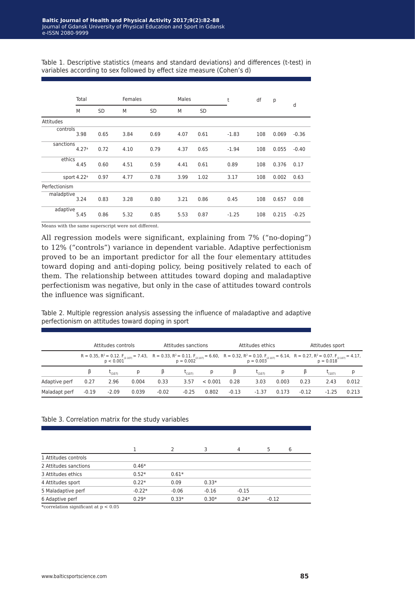Table 1. Descriptive statistics (means and standard deviations) and differences (t-test) in variables according to sex followed by effect size measure (Cohen's d)

|               | Total                   |           | Females |           | Males |           | t       | df  | р     |         |
|---------------|-------------------------|-----------|---------|-----------|-------|-----------|---------|-----|-------|---------|
|               | M                       | <b>SD</b> | M       | <b>SD</b> | M     | <b>SD</b> |         |     |       | d       |
| Attitudes     |                         |           |         |           |       |           |         |     |       |         |
| controls      | 3.98                    | 0.65      | 3.84    | 0.69      | 4.07  | 0.61      | $-1.83$ | 108 | 0.069 | $-0.36$ |
| sanctions     | 4.27 <sup>a</sup>       | 0.72      | 4.10    | 0.79      | 4.37  | 0.65      | $-1.94$ | 108 | 0.055 | $-0.40$ |
| ethics        | 4.45                    | 0.60      | 4.51    | 0.59      | 4.41  | 0.61      | 0.89    | 108 | 0.376 | 0.17    |
|               | sport 4.22 <sup>a</sup> | 0.97      | 4.77    | 0.78      | 3.99  | 1.02      | 3.17    | 108 | 0.002 | 0.63    |
| Perfectionism |                         |           |         |           |       |           |         |     |       |         |
| maladptive    | 3.24                    | 0.83      | 3.28    | 0.80      | 3.21  | 0.86      | 0.45    | 108 | 0.657 | 0.08    |
| adaptive      | 5.45                    | 0.86      | 5.32    | 0.85      | 5.53  | 0.87      | $-1.25$ | 108 | 0.215 | $-0.25$ |

Means with the same superscript were not different.

All regression models were significant, explaining from 7% ("no-doping") to 12% ("controls") variance in dependent variable. Adaptive perfectionism proved to be an important predictor for all the four elementary attitudes toward doping and anti-doping policy, being positively related to each of them. The relationship between attitudes toward doping and maladaptive perfectionism was negative, but only in the case of attitudes toward controls the influence was significant.

Table 2. Multiple regression analysis assessing the influence of maladaptive and adaptive perfectionism on attitudes toward doping in sport

|               | Attitudes controls |         |                                                                                                                                                                                                                                        | Attitudes sanctions |             |         | Attitudes ethics |            |       | Attitudes sport |             |       |
|---------------|--------------------|---------|----------------------------------------------------------------------------------------------------------------------------------------------------------------------------------------------------------------------------------------|---------------------|-------------|---------|------------------|------------|-------|-----------------|-------------|-------|
|               |                    |         | $R = 0.35$ , $R^2 = 0.12$ . $F_{(2.107)} = 7.43$ , $R = 0.33$ , $R^2 = 0.11$ . $F_{(2.107)} = 6.60$ , $R = 0.32$ , $R^2 = 0.10$ . $F_{(2.107)} = 6.14$ , $R = 0.27$ , $R^2 = 0.07$ . $F_{(2.107)} = 4.17$ , $R = 0.001$<br>$R = 0.001$ |                     |             |         |                  |            |       |                 |             |       |
|               |                    | (107)   |                                                                                                                                                                                                                                        | β                   | $L_{(107)}$ |         | β                | L<br>(107) |       |                 | $L_{(107)}$ |       |
| Adaptive perf | 0.27               | 2.96    | 0.004                                                                                                                                                                                                                                  | 0.33                | 3.57        | < 0.001 | 0.28             | 3.03       | 0.003 | 0.23            | 2.43        | 0.012 |
| Maladapt perf | $-0.19$            | $-2.09$ | 0.039                                                                                                                                                                                                                                  | $-0.02$             | $-0.25$     | 0.802   | $-0.13$          | $-1.37$    | 0.173 | $-0.12$         | $-1.25$     | 0.213 |

#### Table 3. Correlation matrix for the study variables

|                       |          |         |         | 4       | 5       | 6 |
|-----------------------|----------|---------|---------|---------|---------|---|
| 1 Attitudes controls  |          |         |         |         |         |   |
| 2 Attitudes sanctions | $0.46*$  |         |         |         |         |   |
| 3 Attitudes ethics    | $0.52*$  | $0.61*$ |         |         |         |   |
| 4 Attitudes sport     | $0.22*$  | 0.09    | $0.33*$ |         |         |   |
| 5 Maladaptive perf    | $-0.22*$ | $-0.06$ | $-0.16$ | $-0.15$ |         |   |
| 6 Adaptive perf       | $0.29*$  | $0.33*$ | $0.30*$ | $0.24*$ | $-0.12$ |   |

\*correlation significant at  $p < 0.05$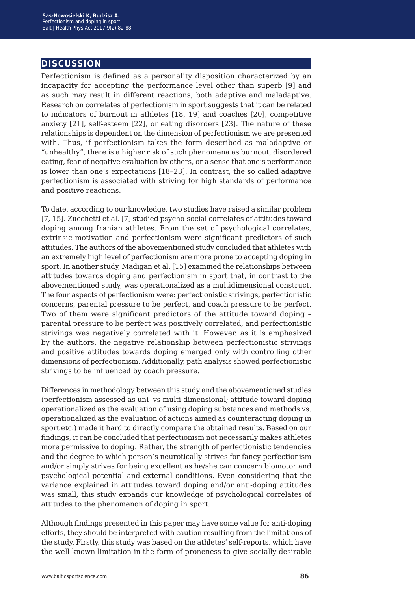# **discussion**

Perfectionism is defined as a personality disposition characterized by an incapacity for accepting the performance level other than superb [9] and as such may result in different reactions, both adaptive and maladaptive. Research on correlates of perfectionism in sport suggests that it can be related to indicators of burnout in athletes [18, 19] and coaches [20], competitive anxiety [21], self-esteem [22], or eating disorders [23]. The nature of these relationships is dependent on the dimension of perfectionism we are presented with. Thus, if perfectionism takes the form described as maladaptive or "unhealthy", there is a higher risk of such phenomena as burnout, disordered eating, fear of negative evaluation by others, or a sense that one's performance is lower than one's expectations [18–23]. In contrast, the so called adaptive perfectionism is associated with striving for high standards of performance and positive reactions.

To date, according to our knowledge, two studies have raised a similar problem [7, 15]. Zucchetti et al. [7] studied psycho-social correlates of attitudes toward doping among Iranian athletes. From the set of psychological correlates, extrinsic motivation and perfectionism were significant predictors of such attitudes. The authors of the abovementioned study concluded that athletes with an extremely high level of perfectionism are more prone to accepting doping in sport. In another study, Madigan et al. [15] examined the relationships between attitudes towards doping and perfectionism in sport that, in contrast to the abovementioned study, was operationalized as a multidimensional construct. The four aspects of perfectionism were: perfectionistic strivings, perfectionistic concerns, parental pressure to be perfect, and coach pressure to be perfect. Two of them were significant predictors of the attitude toward doping – parental pressure to be perfect was positively correlated, and perfectionistic strivings was negatively correlated with it. However, as it is emphasized by the authors, the negative relationship between perfectionistic strivings and positive attitudes towards doping emerged only with controlling other dimensions of perfectionism. Additionally, path analysis showed perfectionistic strivings to be influenced by coach pressure.

Differences in methodology between this study and the abovementioned studies (perfectionism assessed as uni- vs multi-dimensional; attitude toward doping operationalized as the evaluation of using doping substances and methods vs. operationalized as the evaluation of actions aimed as counteracting doping in sport etc.) made it hard to directly compare the obtained results. Based on our findings, it can be concluded that perfectionism not necessarily makes athletes more permissive to doping. Rather, the strength of perfectionistic tendencies and the degree to which person's neurotically strives for fancy perfectionism and/or simply strives for being excellent as he/she can concern biomotor and psychological potential and external conditions. Even considering that the variance explained in attitudes toward doping and/or anti-doping attitudes was small, this study expands our knowledge of psychological correlates of attitudes to the phenomenon of doping in sport.

Although findings presented in this paper may have some value for anti-doping efforts, they should be interpreted with caution resulting from the limitations of the study. Firstly, this study was based on the athletes' self-reports, which have the well-known limitation in the form of proneness to give socially desirable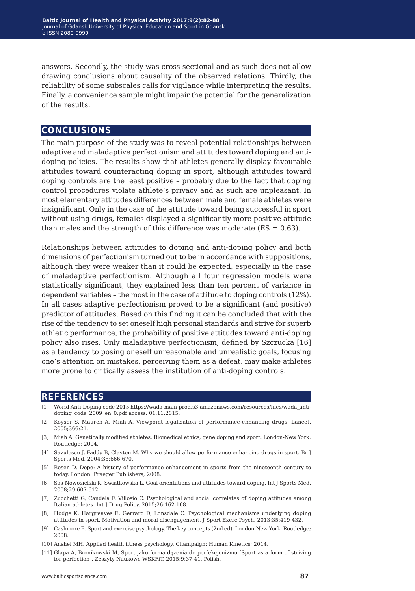answers. Secondly, the study was cross-sectional and as such does not allow drawing conclusions about causality of the observed relations. Thirdly, the reliability of some subscales calls for vigilance while interpreting the results. Finally, a convenience sample might impair the potential for the generalization of the results.

## **conclusions**

The main purpose of the study was to reveal potential relationships between adaptive and maladaptive perfectionism and attitudes toward doping and antidoping policies. The results show that athletes generally display favourable attitudes toward counteracting doping in sport, although attitudes toward doping controls are the least positive – probably due to the fact that doping control procedures violate athlete's privacy and as such are unpleasant. In most elementary attitudes differences between male and female athletes were insignificant. Only in the case of the attitude toward being successful in sport without using drugs, females displayed a significantly more positive attitude than males and the strength of this difference was moderate  $(ES = 0.63)$ .

Relationships between attitudes to doping and anti-doping policy and both dimensions of perfectionism turned out to be in accordance with suppositions, although they were weaker than it could be expected, especially in the case of maladaptive perfectionism. Although all four regression models were statistically significant, they explained less than ten percent of variance in dependent variables – the most in the case of attitude to doping controls (12%). In all cases adaptive perfectionism proved to be a significant (and positive) predictor of attitudes. Based on this finding it can be concluded that with the rise of the tendency to set oneself high personal standards and strive for superb athletic performance, the probability of positive attitudes toward anti-doping policy also rises. Only maladaptive perfectionism, defined by Szczucka [16] as a tendency to posing oneself unreasonable and unrealistic goals, focusing one's attention on mistakes, perceiving them as a defeat, may make athletes more prone to critically assess the institution of anti-doping controls.

### **references**

- [1] World Anti-Doping code 2015 https://wada-main-prod.s3.amazonaws.com/resources/files/wada\_antidoping\_code\_2009\_en\_0.pdf access: 01.11.2015.
- [2] Koyser S, Mauren A, Miah A. Viewpoint legalization of performance-enhancing drugs. Lancet. 2005;366:21.
- [3] Miah A. Genetically modified athletes. Biomedical ethics, gene doping and sport. London-New York: Routledge; 2004.
- [4] Savulescu J, Faddy B, Clayton M. Why we should allow performance enhancing drugs in sport. Br J Sports Med. 2004;38:666-670.
- [5] Rosen D. Dope: A history of performance enhancement in sports from the nineteenth century to today. London: Praeger Publishers; 2008.
- [6] Sas-Nowosielski K, Swiatkowska L. Goal orientations and attitudes toward doping. Int J Sports Med. 2008;29:607-612.
- [7] Zucchetti G, Candela F, Villosio C. Psychological and social correlates of doping attitudes among Italian athletes. Int J Drug Policy. 2015;26:162-168.
- [8] Hodge K, Hargreaves E, Gerrard D, Lonsdale C. Psychological mechanisms underlying doping attitudes in sport. Motivation and moral disengagement. J Sport Exerc Psych. 2013;35:419-432.
- [9] Cashmore E. Sport and exercise psychology. The key concepts (2nd ed). London-New York: Routledge; 2008.
- [10] Anshel MH. Applied health fitness psychology. Champaign: Human Kinetics; 2014.
- [11] Glapa A, Bronikowski M, Sport jako forma dążenia do perfekcjonizmu [Sport as a form of striving for perfection]. Zeszyty Naukowe WSKFiT. 2015;9:37-41. Polish.